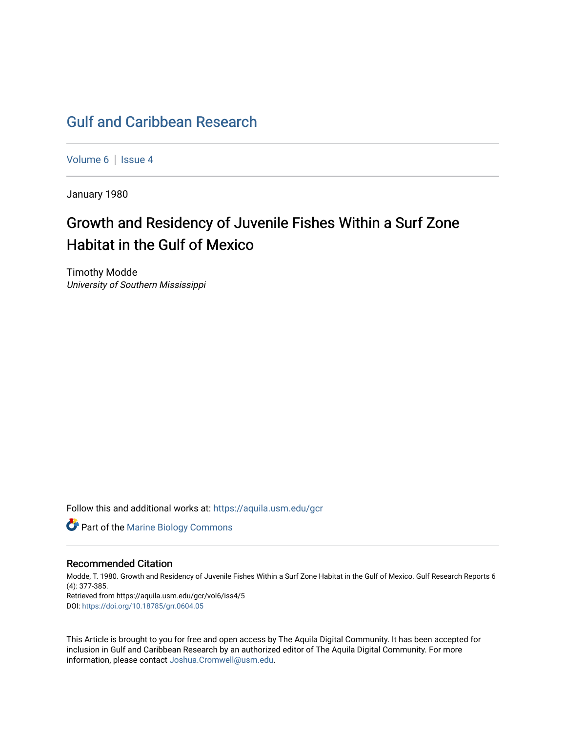## [Gulf and Caribbean Research](https://aquila.usm.edu/gcr)

[Volume 6](https://aquila.usm.edu/gcr/vol6) | Issue 4

January 1980

# Growth and Residency of Juvenile Fishes Within a Surf Zone Habitat in the Gulf of Mexico

Timothy Modde University of Southern Mississippi

Follow this and additional works at: [https://aquila.usm.edu/gcr](https://aquila.usm.edu/gcr?utm_source=aquila.usm.edu%2Fgcr%2Fvol6%2Fiss4%2F5&utm_medium=PDF&utm_campaign=PDFCoverPages) 



### Recommended Citation

Modde, T. 1980. Growth and Residency of Juvenile Fishes Within a Surf Zone Habitat in the Gulf of Mexico. Gulf Research Reports 6 (4): 377-385. Retrieved from https://aquila.usm.edu/gcr/vol6/iss4/5

DOI: <https://doi.org/10.18785/grr.0604.05>

This Article is brought to you for free and open access by The Aquila Digital Community. It has been accepted for inclusion in Gulf and Caribbean Research by an authorized editor of The Aquila Digital Community. For more information, please contact [Joshua.Cromwell@usm.edu.](mailto:Joshua.Cromwell@usm.edu)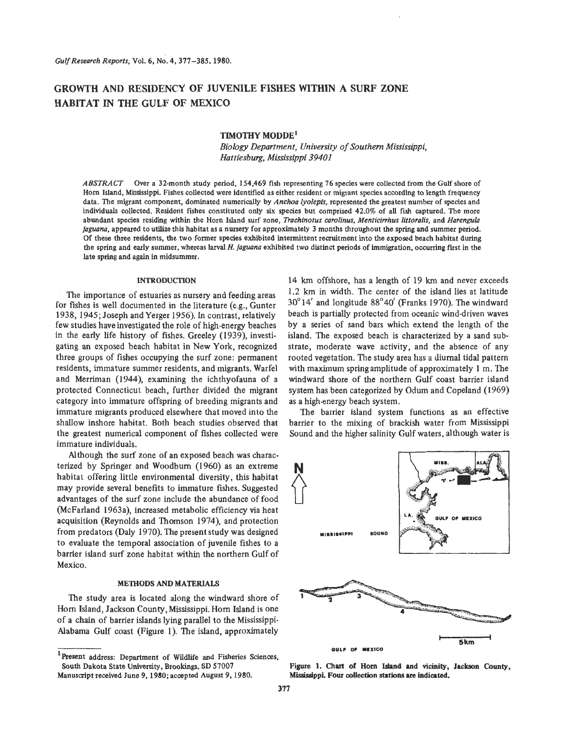## **GROWTH AND RESIDENCY OF JUVENILE FISHES WITHIN A SURF ZONE HABITAT IN THE GULF OF MEXICO**

#### **TIMOTHY MODDE'**

*Biology Department, University of Southern Mississippi, Hattiesburg, Mississippi 39401* 

ABSTRACT Over a 32-month study period, 154,469 fish representing 76 species were collected from the **Gulf** shore of Horn Island, Mississippi. Fishes collected were identified as either resident or migrant species according to length frequency data. The migrant component, dominated numerically by *Anchoa lyolepis*, represented the greatest number of species and individuals collected. Resident fishes constituted only six species but comprised 42.0% of all **fish** captured. The more abundant species residing within the Horn Island surf zone, *Trachinotus carolinus, Menticirrhus littoralis*, and *Harengula juguanu,* appeared to utilize this habitat as a nursery for approximately 3 months throughout the spring and summer period. Of these three residents, **the two** former species exhibited intermittent recruitment into the exposed beach habitat during the **spring** and early summer, whereas larval *H. juguana* exhibited **two** distinct periods **of** immigration, occurring Fist in the late **spring** and again in midsummer.

#### **INTRODUCTION**

The importance of estuaries as nursery and feeding areas for fishes is well documented in the literature (e.g., Gunter 1938, 1945; Joseph andYerger 1956). In contrast, relatively few studies have investigated the role of high-energy beaches in the early life history of fishes. Greeley (1939), investigating an exposed beach habitat in New York, recognized three groups of fishes occupying the surf zone: permanent residents, immature summer residents, and migrants. Warfel and Merriman (1944), examining the ichthyofauna of a protected Connecticut beach, further divided the migrant category into immature offspring of breeding migrants and immature migrants produced elsewhere that moved into the shallow inshore habitat. Both beach studies observed that the greatest numerical component of fishes collected were immature individuals.

Although the surf zone of an exposed beach was characterized by Springer and Woodbum (1960) as an extreme habitat offering little environmental diversity, this habitat may provide several benefits to immature fishes. Suggested advantages of the surf zone include the abundance of food (McFarland 1963a), increased metabolic efficiency via heat acquisition (Reynolds and Thomson 1974), and protection from predators (Daly 1970). The present study was designed to evaluate the temporal association **of** juvenile fishes to a barrier island surf zone habitat within the northern Gulf of Mexico.

#### **METHODS** AND MATERIALS

The study area is located along the windward shore of Horn Island, Jackson County, Mississippi. Horn Island is one of a chain of barrier islands lying parallel to the Mississippi-Alabama Gulf coast (Figure 1). The island, approximately

island. The exposed beach **is** characterized by a sand substrate, moderate wave activity, and the absence of any rooted vegetation. The study area has a diurnal tidal pattern with maximum spring amplitude of approximately 1 m. The windward shore of the northern Gulf coast barrier island system has been categorized by Odum and Copeland (1969) as a high-energy beach system. The barrier island system functions as **an** effective barrier to the mixing of brackish water from Mississippi Sound and the higher salinity Gulf waters, although water is

14 km offshore, has a length of 19 km and never exceeds 1.2 km in width. The center of the island lies at latitude 30"14' and longitude **88"40'** (Franks 1970). The windward beach is partially protected from oceanic wind-driven waves by a series **of** sand bars which extend the length of the



**Figure 1.** *Chart* **of Horn** Island and vicinity, Jackson **County,**  Mississippi. **Four** collection stations **are indicated.** 

**<sup>&#</sup>x27;Present** address: Department **of** Wildlife and Fisheries Sciences, Manuscript received June 9,1980;accepted August **9,1980.**  South Dakota State University, Brookings, SD **57007**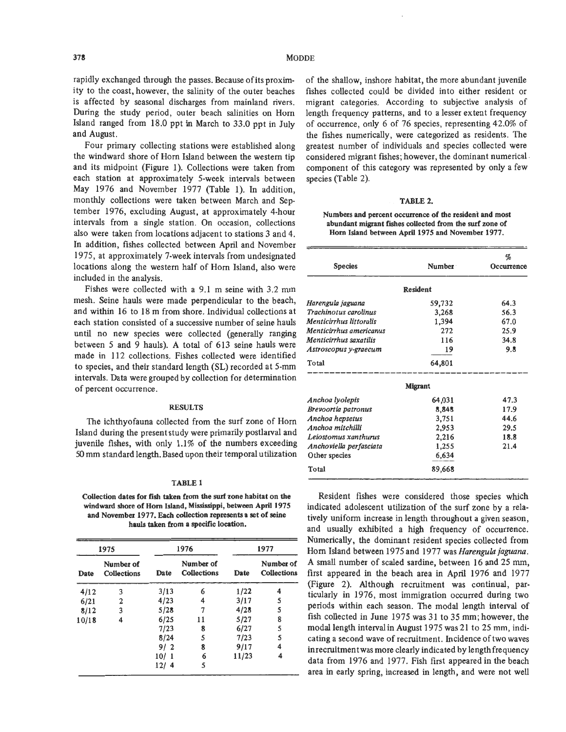rapidly exchanged through the passes. Because of its proximity to the coast, however, the salinity of the outer beaches is affected by seasonal discharges from mainland rivers. During the study period, outer beach salinities on Horn Island ranged from 18.0 ppt in March to **33.0** ppt in July and August.

Four primary collecting stations were established along the windward shore of Horn Island between the western tip and its midpoint (Figure 1). Collections were taken from each station at approximately 5-week intervals between May 1976 and November 1977 (Table 1). In addition, monthly collections were taken between March and September 1976, excluding August, at approximately 4-hour intervals from a single station. On occasion, collections also were taken from locations adjacent to stations **3** and 4. In addition, fishes collected between April and November 1975, at approximately 7-week intervals from undesignated locations along the western half of Horn Island, also were included in the analysis.

Fishes were collected with a 9.1 m seine with 3.2 mm mesh, Seine hauls were made perpendicular to the beach, and within 16 to 18 m from shore. Individual collections at each station consisted of a successive number of seine hauls until no new species were collected (generally ranging between *5* and 9 hauls). A total of 613 seine hauls were made in 112 collections. Fishes collected were identified to species, and their standard length **(SL)** recorded at 5-mm intervals. Data were grouped by collection for determination of percent occurrence.

#### **RESULTS**

The ichthyofauna collected from the surf zone of Hom Island during the present study were primarily postlarval and juvenile fishes, with only 1.1% of the numbers exceeding 50 mm standard length. Based upon their temporal utilization

#### **TABLE 1**

**Collection dates for fish taken from the surf zone habitat on the windward shore of Horn Island, Mississippi, between April 1975 and November 1977.** Each **collection represents a set of seine hauls taken from a specific location.** 

| 1975  |                          | 1976      |                                 | 1977  |                          |
|-------|--------------------------|-----------|---------------------------------|-------|--------------------------|
| Date  | Number of<br>Collections | Date      | Number of<br><b>Collections</b> | Date  | Number of<br>Collections |
| 4/12  | 3                        | 3/13      | 6                               | 1/22  |                          |
| 6/21  | 2                        | 4/23      | 4                               | 3/17  | 5                        |
| 8/12  | 3                        | 5/28      | 7                               | 4/28  | 5                        |
| 10/18 | 4                        | 6/25      | 11                              | 5/27  | 8                        |
|       |                          | 7/23      | 8                               | 6/27  | 5                        |
|       |                          | 8/24      | 5                               | 7/23  | 5                        |
|       |                          | 9/2       | 8                               | 9/17  | 4                        |
|       |                          | 10/<br>-1 | 6                               | 11/23 | 4                        |
|       |                          | 12/4      | 5                               |       |                          |

of the shallow, inshore habitat, the more abundant juvenile fishes collected could be divided into either resident or migrant categories. According to subjective analysis of length frequency patterns, and to a lesser extent frequency of occurrence, only 6 of 76 species, representing 42.0% of the fishes numerically, were categorized as residents. The greatest number of individuals and species collected were considered migrant fishes; however, the dominant numerical component of this category was represented by only a few species (Table 2).

#### **TABLE 2.**

**Numbers and percent occurrence of the resident and most abundant migrant fishes collected from the surf zone of Hom Island between April 1975 and November 1977.** 

| <b>Species</b>             | <b>Number</b>  | %<br>Occurrence |
|----------------------------|----------------|-----------------|
|                            | Resident       |                 |
| Harengula jaguana          | 59,732         | 64.3            |
| Trachinotus carolinus      | 3,268          | 56.3            |
| Menticirrhus littoralis    | 1,394          | 67.0            |
| Menticirrhus americanus    | 272            | 25.9            |
| Menticirrhus saxatilis     | 116            | 34.8            |
| Astroscopus y-graecum      | 19             | 9.8             |
| Total                      | 64,801         |                 |
|                            | <b>Migrant</b> |                 |
| Anchoa lyolepis            | 64,031         | 47.3            |
| <b>Brevoortia patronus</b> | 8,848          | 17.9            |
| Anchoa hepsetus            | 3,751          | 44.6            |
| Anchoa mitchilli           | 2,953          | 29.5            |
| Leiostomus xanthurus       | 2,216          | 18.8            |
| Anchoviella perfasciata    | 1,255          | 21.4            |
| Other species              | 6,634          |                 |
| Total                      | 89,668         |                 |

Resident fishes were considered those species which indicated adolescent utilization of the surf zone by a relatively uniform increase in length throughout a given season, and usually exhibited a high frequency of occurrence. Numerically, the dominant resident species collected from **Hom** Island between 1975 and 1977 was *Harengula jaguana.*  A small number of scaled sardine, between 16 and 25 mm, first appeared in the beach area in April 1976 and 1977 (Figure **2).** Although recruitment was continual, particularly in 1976, most immigration occurred during two periods within each season. The modal length interval of fish collected in June 1975 was **3** 1 to 35 mm; however, the modal length interval in August 1975 was 21 to 25 mm, indicating a second wave of recruitment. Incidence of two waves inrecruitment was more clearly indicated by length frequency data from 1976 and 1977. Fish first appeared in the beach area in early spring, increased in length, and were not well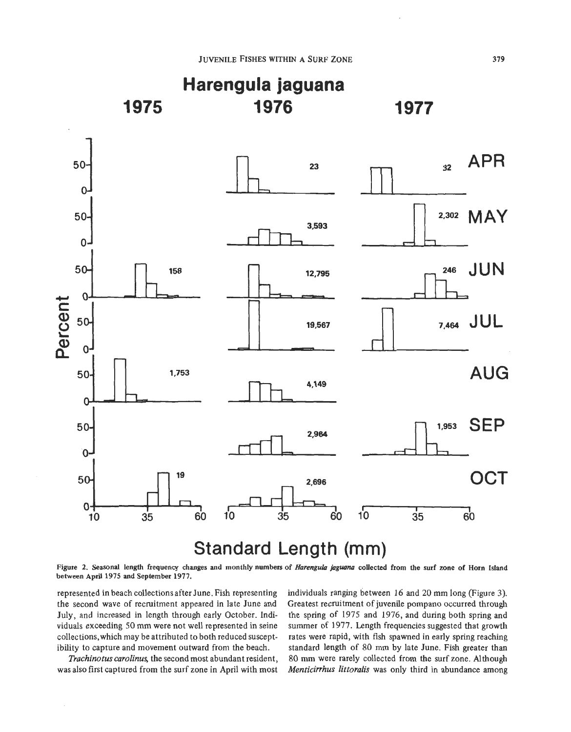

**Figure 2. Seasonal length frequency changes and monthly numbers of** *Harengula jaguanu* **collected from the surf zone of Horn Island between April 1975 and September 1977.** 

represented in beach collections after June. Fish representing the second wave of recruitment appeared in late June and July, and increased in length through early October. Individuals exceeding *50* mm were not well represented in seine collections,which may be attributed to both reduced susceptibility to capture and movement outward from the beach.

*Trachinotus carolinus,* the second most abundant resident, was also first captured from the surf zone in April with most

individuals ranging between 16 and 20 mm long (Figure **3).**  Greatest recruitment of juvenile pompano occurred through the spring of 1975 and 1976, and during both spring and summer **of** 1977. Length frequencies suggested that growth rates were rapid, with fish spawned in early spring reaching standard length **of** 80 mm by late June. Fish greater **than**  80 **mm** were rarely collected from the surf zone. Although *Menticirrhus littoralis* was only third in abundance among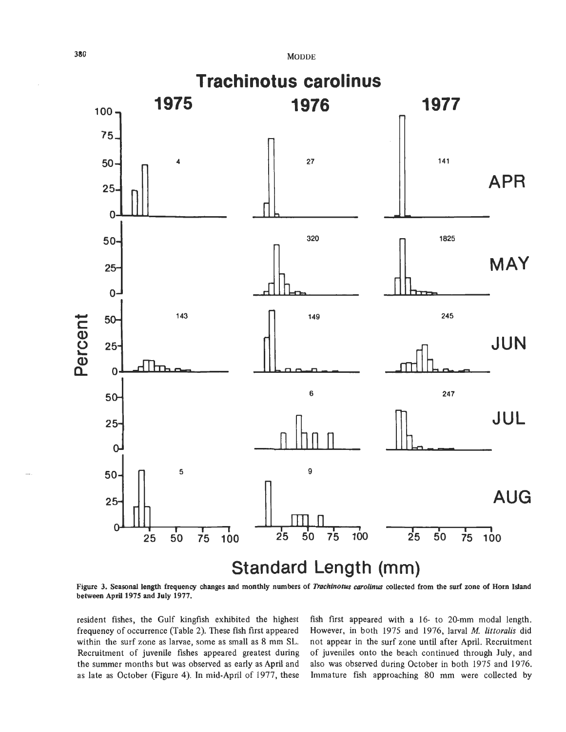

**Figure 3. Seasonal length frequency changes and monthly numbers of** *Duchinotus corolinus* **collected from the surf zone of Horn Island between April 1975 and July 1977.** 

resident fishes, the Gulf kingfish exhibited the highest fish first appeared with a 16- to 20-mm modal length. frequency of occurrence (Table *2).* These fish first appeared However, in both 1975 and 1976, larval *M. littoralis* did within the surf zone as larvae, some as small as **8** mm **SL.** not appear in the surf zone until after April. Recruitment Recruitment of juvenile fishes appeared greatest during of juveniles onto the beach continued through **July,** and the summer months but was observed as early as **April** and also was observed during October in both 1975 and 1976. as late as October (Figure **4).** In mid-April of 1977, these Immature fish approaching 80 mm were collected by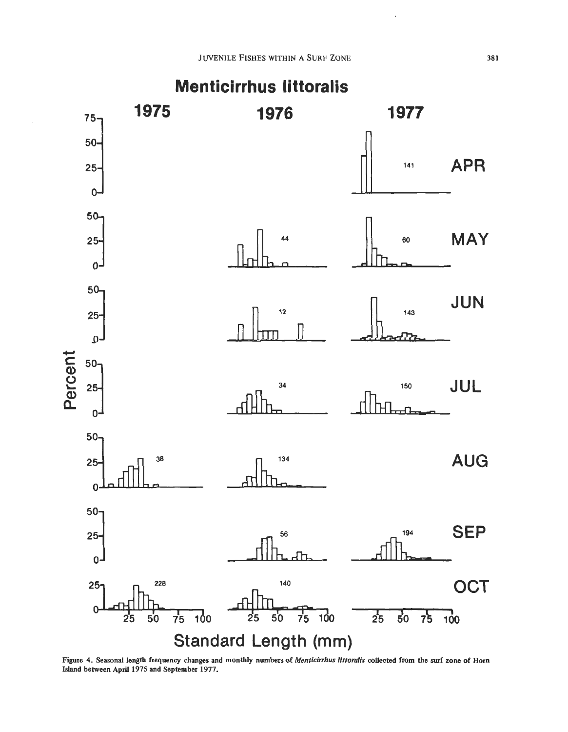

**Figure 4. Seasonal length frequency changes and monthly numbers of** *Menticirhus littoralis* **collected from the surf zone of Horn Island between April 1975 and September 1977.**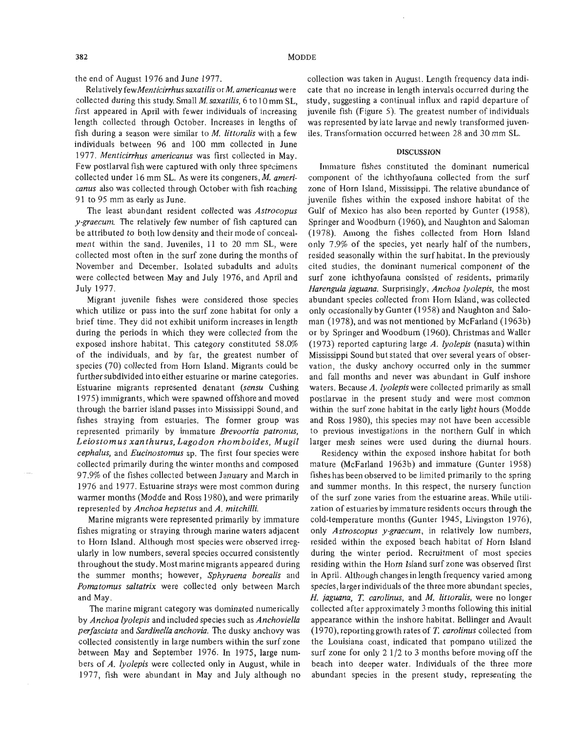the end of August 1976 and June 1977.

Relatively *fewMenticirrhus saxatilis* or *M. americanus* were collected during this study. Small *M. saxatilis,* 6 to 10 mm SL, first appeared in April with fewer individuals of increasing length collected through October. Increases in lengths of fish during a season were similar to *M. littoralis* with a few individuals between 96 and 100 mm collected in June 1977. *Menticirrhus americanus* was first collected in May. Few postlarval fish were captured with only three specimens collected under 16 mm SL. **As** were its congeners, *M. americanus* also was collected through October with fish reaching 91 to 95 mm as early as June.

The least abundant resident collected was *Astrocopus y-graecum*. The relatively few number of fish captured can be attributed to both low density and their mode of concealment within the sand. Juveniles, 11 to 20 mm SL, were collected most often in the surf zone during the months of November and December. Isolated subadults and adults were collected between May and July 1976, and April and July 1977.

Migrant juvenile fishes were considered those species which utilize or pass into the surf zone habitat for only a brief time. They did not exhibit uniform increases in length during the periods in which they were collected from the exposed inshore habitat. This category constituted 58.0% of the individuals, and by far, the greatest number of species (70) collected from Horn Island. Migrants could be further subdivided into either estuarine or marine categories. Estuarine migrants represented denatant *(sensu* Cushing 1975) immigrants, which were spawned offshore and moved through the barrier island passes into Mississippi Sound, and fishes straying from estuaries. The former group was represented primarily by immature *Brevoortia patronus, Leiostomus xanthurus, Lagodon rhom boides, Mugil cephalus,* and *Eucinostomus* sp. The first four species were collected primarily during the winter months and composed 97.9% of the fishes collected between January and March in 1976 and 1977. Estuarine strays were most common during warmer months (Modde and Ross 1980), and were primarily represented by *Anchoa hepsetus* and *A. mitchilli.* 

Marine migrants were represented primarily by immature fishes migrating or straying through marine waters adjacent to Horn Island. Although most species were observed irregularly in low numbers, several species occurred consistently throughout the study. Most marine migrants appeared during the summer months; however, *Sphyraena borealis* and *Pomatomus saltatrix* were collected only between March and May.

The marine migrant category was dominated numerically by *Anchoa lyolepis* and included species such as *Anchoviellu perfasciata* and *Sardinella anchovia.* The dusky anchovy was collected consistently in large numbers within the surf zone between May and September 1976. In 1975, large numbers of *A. lyolepis* were collected only in August, while in 1977, fish were abundant in May and July although no

collection was taken in August. Length frequency data indicate that no increase in length intervals occurred during the study, suggesting a continual influx and rapid departure of juvenile fish (Figure *5).* The greatest number of individuals was represented by late larvae and newly transformed juveniles. Transformation occurred between 28 and 30 mm SL.

#### **DISCUSSION**

Immature fishes constituted the dominant numerical component of the ichthyofauna collected from the surf zone of Horn Island, Mississippi. The relative abundance of juvenile fishes within the exposed inshore habitat of the Gulf of Mexico has also been reported by Gunter (1958), Springer and Woodburn (1960), and Naughton and Saloman (1978). Among the fishes collected from Horn Island only 7.9% of the species, yet nearly half of the numbers, resided seasonally within the surf habitat. In the previously cited studies, the dominant numerical component of the surf zone ichthyofauna consisted of residents, primarily *Harengula jaguana.* Surprisingly, *Anchoa lyolepis,* the most abundant species collected from Horn Island, was collected only occasionally by Gunter (1958) and Naughton and Saloman (1978), and was not mentioned by McFarland (1963b) or by Springer and Woodburn (1960). Christmas and Waller (1 973) reported capturing large *A. lyolepis* (nasuta) within Mississippi Sound but stated that over several years of observation, the dusky anchovy occurred only in the summer and fall months and never was abundant in Gulf inshore waters. Because *A. lyolepis* were collected primarily as small postlarvae in the present study and were most common within the surf zone habitat in the early light hours (Modde and Ross 1980), this species may not have been accessible to previous investigations in the northern Gulf in which larger mesh seines were used during the diurnal hours.

Residency within the exposed inshore habitat for both mature (McFarland 1963b) and immature (Gunter 1958) fishes has been observed to be limited primarily to the spring and summer months. In this respect, the nursery function of the surf zone varies from the estuarine areas. While utilization of estuaries by immature residents occurs through the cold-temperature months (Gunter 1945, Livingston 1976), only *Astroscopus y-graecum,* in relatively low numbers, resided within the exposed beach habitat of Horn Island during the winter period. Recruitment of most species residing within the Horn Island surf zone was observed first in April. Although changes in length frequency varied among species, larger individuals of the three more abundant species, *H. jaguana, T. carolinus,* and *M. littoralis,* were no longer collected after approximately *3* months following this initial appearance within the inshore habitat. Bellinger and Avault (1970), reporting growth rates of *T. carolinus* collected from the Louisiana coast, indicated that pompano utilized the surf zone for only 2 1/2 to *3* months before moving off the beach into deeper water. Individuals of the three more abundant species in the present study, representing the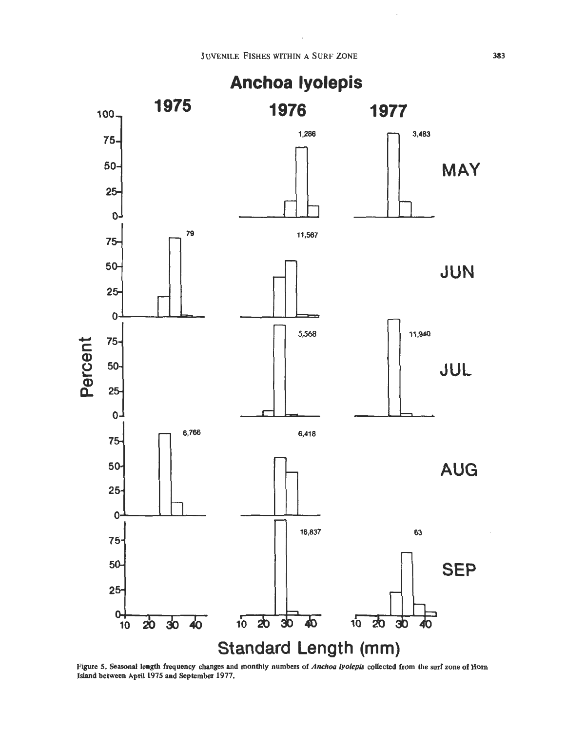

**Figure 5. Seasonal length frequency changes and monthly numbers of** *Anchoa lyolepis* **collected from the surf zone of Horn Island between April 1975 and September 1977.**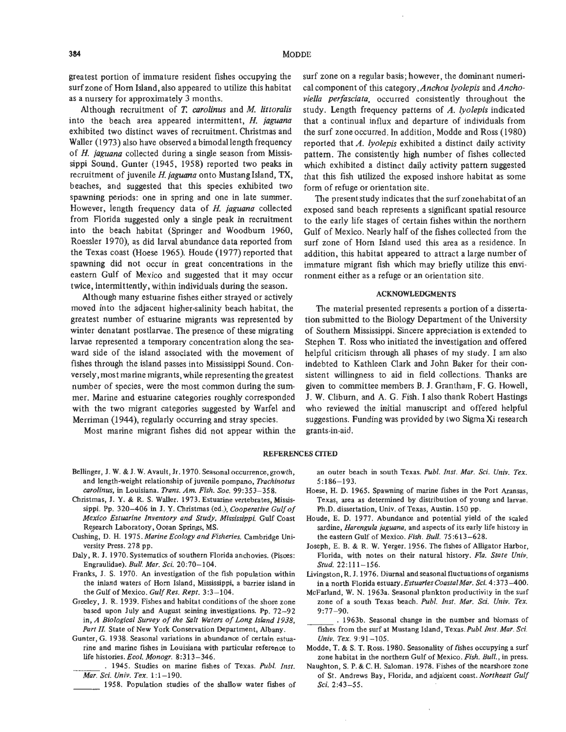greatest portion of immature resident fishes occupying the surf zone of Horn Island, also appeared to utilize this habitat as a nursery for approximately 3 months.

Although recruitment of *T. carolinus* and *M. littoralis*  into the beach area appeared intermittent, *H. jaguana*  exhibited two distinct waves of recruitment. Christmas and Waller (1973) also have observed a bimodal length frequency of *H. jaguana* collected during a single season from Mississippi Sound. Gunter (1945, 1958) reported two peaks in recruitment of juvenile *H. jaguana* onto Mustang Island, TX, beaches, and suggested that this species exhibited two spawning periods: one in spring and one in late summer. However, length frequency data of *H. jaguana* collected from Florida suggested only a single peak in recruitment into the beach habitat (Springer and Woodburn 1960, Roessler 1970), as did larval abundance data reported from the Texas coast (Hoese 1965). Houde (1977) reported that spawning did not occur in great concentrations in the eastern Gulf of Mexico and suggested that it may occur twice, intermittently, within individuals during the season.

Although many estuarine fishes either strayed or actively moved into the adjacent higher-salinity beach habitat, the greatest number of estuarine migrants was represented by winter denatant postlarvae. The presence of these migrating larvae represented a temporary concentration along the seaward side of the island associated with the movement of fishes through the island passes into Mississippi Sound. Conversely, most marine migrants, while representing the greatest number of species, were the most common during the summer. Marine and estuarine categories roughly corresponded with the two migrant categories suggested by Warfel and Merriman (1944), regularly occurring and stray species.

Most marine migrant fishes did not appear within the

surf zone on a regular basis; however, the dominant numerical component of this category,Anchoa *lyolepis* and Ancho*viella perfasciata,* occurred consistently throughout the study. Length frequency patterns of A. *lyolepis* indicated that a continual influx and departure of individuals from the surf zone occurred. In addition, Modde and Ross (1980) reported that A. *lyolepis* exhibited a distinct daily activity pattern. The consistently high number of fishes collected which exhibited a distinct daily activity pattern suggested that this fish utilized the exposed inshore habitat as some form of refuge or orientation site.

The present study indicates that the surf zonehabitat of an exposed sand beach represents a significant spatial resource to the early life stages of certain fishes within the northern Gulf of Mexico. Nearly half of the fishes collected from the surf zone of Horn Island used this area as a residence. In addition, this habitat appeared to attract a large number of immature migrant fish which may briefly utilize this environment either as a refuge or an orientation site.

#### **ACKNOWLEDGMENTS**

The material presented represents a portion of a dissertation submitted to the Biology Department of the University of Southern Mississippi. Sincere appreciation is extended to Stephen T. Ross who initiated the investigation and offered helpful criticism through all phases of my study. I am also indebted to Kathleen Clark and John Baker for their consistent willingness to aid in field collections. Thanks are given to committee members B. **J.** Grantham, F. G. Howell, **J.** W. Cliburn, and **A.** G. Fish. I also thank Robert Hastings who reviewed the initial manuscript and offered helpful suggestions. Funding was provided by two Sigma Xi research grants-in-aid.

#### **REFERENCES CITED**

- Bellinger, **J.** W. & **J.** W. Avault, Jr. 1970. Seasonal occurrence, growth, and length-weight relationship of juvenile pompano, *Z'rachinotus carolinus,* in Louisiana. *Dam.* Am. *Fish. SOC.* 99:353-358.
- Christmas, **J.** Y. & **R.** S. Waller. 1973. Estuarine vertebrates, Mississippi. Pp. 320-406 in **J.** Y. Christmas (ed.), *Cooperative Gulf of Mexico Estuarine Inventory and Study, Mississippi.* Gulf Coast Research Laboratory, Ocean Springs, MS.
- Cushing, D. H. 1975. *Marine Ecology and Fisheries.* Cambridge University Press. 278 pp.
- Daly, **R. J.** 1970. Systematics of southern Florida anchovies. (Pisces: Engraulidae). *Bull. Mar. Sci.* 20:70-104.
- Franks, **J.** S. 1970. *An* investigation of the fish population within the inland waters of Hom Island, Mississippi, a barrier island in the Gulf of Mexico. *Gulf Res. Rept.* 3:3-104.
- Greeley, **J. R.** 1939. Fishes and habitat conditions of the shore zone based upon July and August seining investigations. Pp. 72-92 in, A *Biological Survey of the Salt Waters of Long Island 1938,*  Part II. State of New York Conservation Department, Albany.
- Gunter, G. 1938. Seasonal variations in abundance of certain estuarine and marine fishes in Louisiana with particular reference to life histories. *Ecol. Monogr.* 8:313-346.
- . 1945. Studies on marine fishes of Texas. *Publ. Znst. Mar. Sci. Univ. Tex.* 1:1-190.
- 1958. Population studies of the shallow water fishes of

an outer beach in south Texas. *Publ. Inst. Mar. Sci. Univ. Tex.*  $5:186 - 193$ .

- Hoese, H. D. 1965. Spawning of marine fishes in the Port Aransas, Texas, area as determined by distribution of young and larvae. Ph.D. dissertation, Univ. of Texas, Austin. **150** pp.
- Houde, E. D. 1977. Abundance and potential yield of the scaled sardine, *Harengula iaguana,* and aspects of its early life history in the eastern **Gulf** of Mexico. *Fish. Bull.* 75:613-628.
- Joseph, E. B. & R. W. Yerger. 1956. The fishes of Alligator Harbor, Florida, with notes **on** their natural history. *Fla. State Univ. Stud.* 22:111-156.
- Livingston, **R. J.** 1976. Diurnal and seasonal fluctuations of organisms in a north Florida *estuary.EstuariesCoastalMar. Sci.* 4:373-400.
- McFarland, W. N. 1963a. Seasonal plankton productivity in the surf zone of a south Texas beach. Publ. Inst. Mar. Sci. Univ. Tex.  $9:77-90.$
- . 1963b. Seasonal change in the number and biomass of fishes from the surf at Mustang Island, Texas.Pub1. Inst. *Mar. Sci. Univ. Tex.* 9:91-105.
- Modde, T. & *S.* T. Ross. 1980. Seasonality of fishes occupying a surf zone habitat in the northern Gulf of Mexico. *Fish. Bull.,* in press.
- Naughton, **S.** P. & C. H. Saloman. 1978. Fishes of the nearshore zone of St. Andrews Bay, Florida, and adjacent coast. *Northeast Gulf Sci. 2* :43-55.